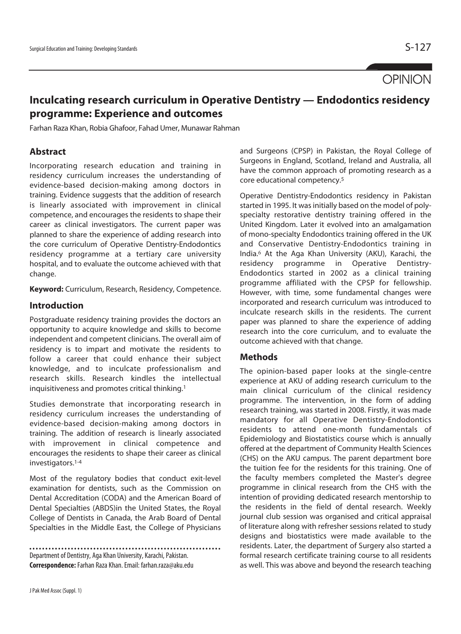# **OPINION**

# **Inculcating research curriculum in Operative Dentistry — Endodontics residency programme: Experience and outcomes**

Farhan Raza Khan, Robia Ghafoor, Fahad Umer, Munawar Rahman

# **Abstract**

Incorporating research education and training in residency curriculum increases the understanding of evidence-based decision-making among doctors in training. Evidence suggests that the addition of research is linearly associated with improvement in clinical competence, and encourages the residents to shape their career as clinical investigators. The current paper was planned to share the experience of adding research into the core curriculum of Operative Dentistry-Endodontics residency programme at a tertiary care university hospital, and to evaluate the outcome achieved with that change.

**Keyword:** Curriculum, Research, Residency, Competence.

# **Introduction**

Postgraduate residency training provides the doctors an opportunity to acquire knowledge and skills to become independent and competent clinicians. The overall aim of residency is to impart and motivate the residents to follow a career that could enhance their subject knowledge, and to inculcate professionalism and research skills. Research kindles the intellectual inquisitiveness and promotes critical thinking.1

Studies demonstrate that incorporating research in residency curriculum increases the understanding of evidence-based decision-making among doctors in training. The addition of research is linearly associated with improvement in clinical competence and encourages the residents to shape their career as clinical investigators.1-4

Most of the regulatory bodies that conduct exit-level examination for dentists, such as the Commission on Dental Accreditation (CODA) and the American Board of Dental Specialties (ABDS)in the United States, the Royal College of Dentists in Canada, the Arab Board of Dental Specialties in the Middle East, the College of Physicians

Department of Dentistry, Aga Khan University, Karachi, Pakistan. **Correspondence:** Farhan Raza Khan. Email: farhan.raza@aku.edu and Surgeons (CPSP) in Pakistan, the Royal College of Surgeons in England, Scotland, Ireland and Australia, all have the common approach of promoting research as a core educational competency.5

Operative Dentistry-Endodontics residency in Pakistan started in 1995. It was initially based on the model of polyspecialty restorative dentistry training offered in the United Kingdom. Later it evolved into an amalgamation of mono-specialty Endodontics training offered in the UK and Conservative Dentistry-Endodontics training in India.<sup>6</sup> At the Aga Khan University (AKU), Karachi, the residency programme in Operative Dentistry-Endodontics started in 2002 as a clinical training programme affiliated with the CPSP for fellowship. However, with time, some fundamental changes were incorporated and research curriculum was introduced to inculcate research skills in the residents. The current paper was planned to share the experience of adding research into the core curriculum, and to evaluate the outcome achieved with that change.

# **Methods**

The opinion-based paper looks at the single-centre experience at AKU of adding research curriculum to the main clinical curriculum of the clinical residency programme. The intervention, in the form of adding research training, was started in 2008. Firstly, it was made mandatory for all Operative Dentistry-Endodontics residents to attend one-month fundamentals of Epidemiology and Biostatistics course which is annually offered at the department of Community Health Sciences (CHS) on the AKU campus. The parent department bore the tuition fee for the residents for this training. One of the faculty members completed the Master's degree programme in clinical research from the CHS with the intention of providing dedicated research mentorship to the residents in the field of dental research. Weekly journal club session was organised and critical appraisal of literature along with refresher sessions related to study designs and biostatistics were made available to the residents. Later, the department of Surgery also started a formal research certificate training course to all residents as well. This was above and beyond the research teaching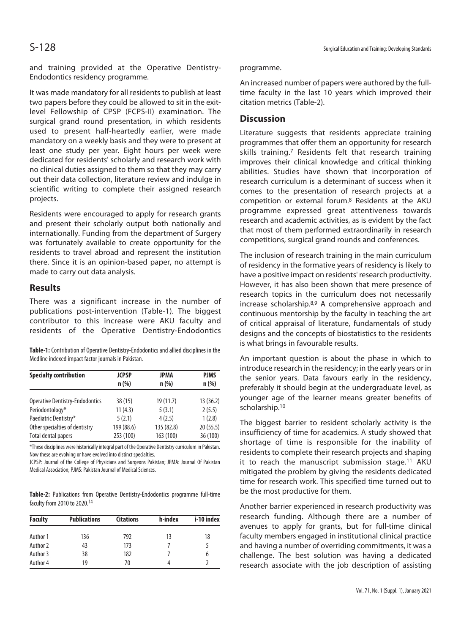and training provided at the Operative Dentistry-Endodontics residency programme.

It was made mandatory for all residents to publish at least two papers before they could be allowed to sit in the exitlevel Fellowship of CPSP (FCPS-II) examination. The surgical grand round presentation, in which residents used to present half-heartedly earlier, were made mandatory on a weekly basis and they were to present at least one study per year. Eight hours per week were dedicated for residents' scholarly and research work with no clinical duties assigned to them so that they may carry out their data collection, literature review and indulge in scientific writing to complete their assigned research projects.

Residents were encouraged to apply for research grants and present their scholarly output both nationally and internationally. Funding from the department of Surgery was fortunately available to create opportunity for the residents to travel abroad and represent the institution there. Since it is an opinion-based paper, no attempt is made to carry out data analysis.

#### **Results**

There was a significant increase in the number of publications post-intervention (Table-1). The biggest contributor to this increase were AKU faculty and residents of the Operative Dentistry-Endodontics

**Table-1:** Contribution of Operative Dentistry-Endodontics and allied disciplines in the Medline indexed impact factor journals in Pakistan.

| <b>Specialty contribution</b>  | <b>JCPSP</b><br>$n$ (%) | JPMA<br>$n$ (%) | <b>PJMS</b><br>$n$ (%) |
|--------------------------------|-------------------------|-----------------|------------------------|
|                                |                         |                 |                        |
| Periodontology*                | 11(4.3)                 | 5(3.1)          | 2(5.5)                 |
| Paediatric Dentistry*          | 5(2.1)                  | 4(2.5)          | 1(2.8)                 |
| Other specialties of dentistry | 199 (88.6)              | 135 (82.8)      | 20(55.5)               |
| Total dental papers            | 253 (100)               | 163 (100)       | 36 (100)               |
|                                |                         |                 |                        |

\*These disciplines were historically integral part of the Operative Dentistry curriculum in Pakistan. Now these are evolving or have evolved into distinct specialties.

JCPSP: Journal of the College of Physicians and Surgeons Pakistan; JPMA: Journal Of Pakistan Medical Association; PJMS: Pakistan Journal of Medical Sciences.

**Table-2:** Publications from Operative Dentistry-Endodontics programme full-time faculty from 2010 to 2020.14

| <b>Faculty</b> | <b>Publications</b> | <b>Citations</b> | h-index | i-10 index |
|----------------|---------------------|------------------|---------|------------|
| Author 1       | 136                 | 792              | 13      | 18         |
| Author 2       | 43                  | 173              |         |            |
| Author 3       | 38                  | 182              |         |            |
| Author 4       | 19                  | 70               |         |            |

programme.

An increased number of papers were authored by the fulltime faculty in the last 10 years which improved their citation metrics (Table-2).

## **Discussion**

Literature suggests that residents appreciate training programmes that offer them an opportunity for research skills training.<sup>7</sup> Residents felt that research training improves their clinical knowledge and critical thinking abilities. Studies have shown that incorporation of research curriculum is a determinant of success when it comes to the presentation of research projects at a competition or external forum.8 Residents at the AKU programme expressed great attentiveness towards research and academic activities, as is evident by the fact that most of them performed extraordinarily in research competitions, surgical grand rounds and conferences.

The inclusion of research training in the main curriculum of residency in the formative years of residency is likely to have a positive impact on residents' research productivity. However, it has also been shown that mere presence of research topics in the curriculum does not necessarily increase scholarship.8,9 A comprehensive approach and continuous mentorship by the faculty in teaching the art of critical appraisal of literature, fundamentals of study designs and the concepts of biostatistics to the residents is what brings in favourable results.

An important question is about the phase in which to introduce research in the residency; in the early years or in the senior years. Data favours early in the residency, preferably it should begin at the undergraduate level, as younger age of the learner means greater benefits of scholarship.10

The biggest barrier to resident scholarly activity is the insufficiency of time for academics. A study showed that shortage of time is responsible for the inability of residents to complete their research projects and shaping it to reach the manuscript submission stage.<sup>11</sup> AKU mitigated the problem by giving the residents dedicated time for research work. This specified time turned out to be the most productive for them.

Another barrier experienced in research productivity was research funding. Although there are a number of avenues to apply for grants, but for full-time clinical faculty members engaged in institutional clinical practice and having a number of overriding commitments, it was a challenge. The best solution was having a dedicated research associate with the job description of assisting